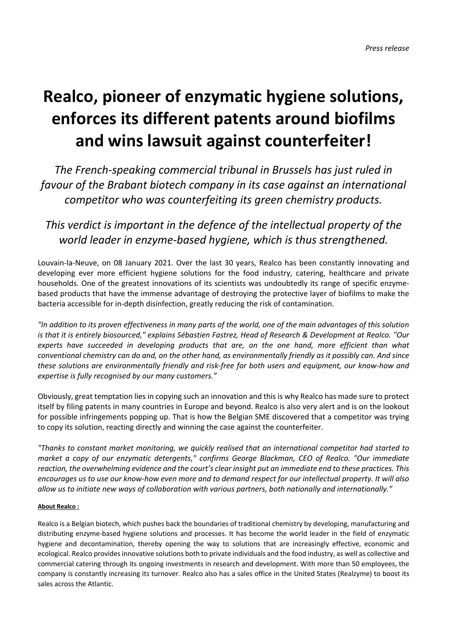## **Realco, pioneer of enzymatic hygiene solutions, enforces its different patents around biofilms and wins lawsuit against counterfeiter!**

*The French-speaking commercial tribunal in Brussels has just ruled in favour of the Brabant biotech company in its case against an international competitor who was counterfeiting its green chemistry products.*

## *This verdict is important in the defence of the intellectual property of the world leader in enzyme-based hygiene, which is thus strengthened.*

Louvain-la-Neuve, on 08 January 2021. Over the last 30 years, Realco has been constantly innovating and developing ever more efficient hygiene solutions for the food industry, catering, healthcare and private households. One of the greatest innovations of its scientists was undoubtedly its range of specific enzymebased products that have the immense advantage of destroying the protective layer of biofilms to make the bacteria accessible for in-depth disinfection, greatly reducing the risk of contamination.

*"In addition to its proven effectiveness in many parts of the world, one of the main advantages of this solution is that it is entirely biosourced," explains Sébastien Fastrez, Head of Research & Development at Realco. "Our experts have succeeded in developing products that are, on the one hand, more efficient than what conventional chemistry can do and, on the other hand, as environmentally friendly as it possibly can. And since these solutions are environmentally friendly and risk-free for both users and equipment, our know-how and expertise is fully recognised by our many customers."*

Obviously, great temptation lies in copying such an innovation and this is why Realco has made sure to protect itself by filing patents in many countries in Europe and beyond. Realco is also very alert and is on the lookout for possible infringements popping up. That is how the Belgian SME discovered that a competitor was trying to copy its solution, reacting directly and winning the case against the counterfeiter.

*"Thanks to constant market monitoring, we quickly realised that an international competitor had started to market a copy of our enzymatic detergents," confirms George Blackman, CEO of Realco. "Our immediate reaction, the overwhelming evidence and the court's clear insight put an immediate end to these practices. This encourages us to use our know-how even more and to demand respect for our intellectual property. It will also allow us to initiate new ways of collaboration with various partners, both nationally and internationally."*

## **About Realco :**

Realco is a Belgian biotech, which pushes back the boundaries of traditional chemistry by developing, manufacturing and distributing enzyme-based hygiene solutions and processes. It has become the world leader in the field of enzymatic hygiene and decontamination, thereby opening the way to solutions that are increasingly effective, economic and ecological. Realco provides innovative solutions both to private individuals and the food industry, as well as collective and commercial catering through its ongoing investments in research and development. With more than 50 employees, the company is constantly increasing its turnover. Realco also has a sales office in the United States (Realzyme) to boost its sales across the Atlantic.